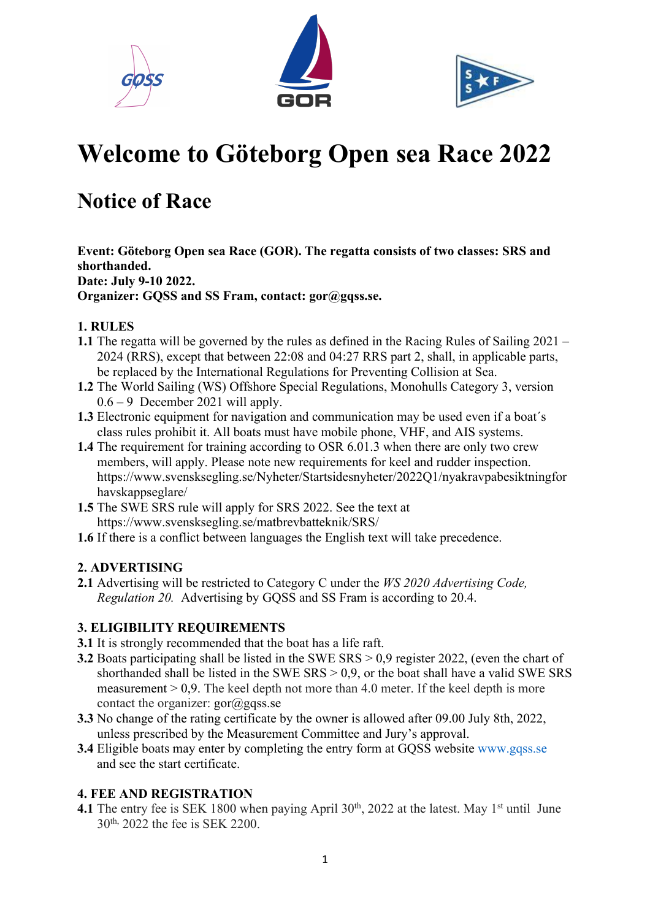





## **Welcome to Göteborg Open sea Race 2022**

## **Notice of Race**

**Event: Göteborg Open sea Race (GOR). The regatta consists of two classes: SRS and shorthanded. Date: July 9-10 2022. Organizer: GQSS and SS Fram, contact: gor@gqss.se.**

#### **1. RULES**

- **1.1** The regatta will be governed by the rules as defined in the Racing Rules of Sailing 2021 2024 (RRS), except that between 22:08 and 04:27 RRS part 2, shall, in applicable parts, be replaced by the International Regulations for Preventing Collision at Sea.
- **1.2** The World Sailing (WS) Offshore Special Regulations, Monohulls Category 3, version 0.6 – 9 December 2021 will apply.
- **1.3** Electronic equipment for navigation and communication may be used even if a boat´s class rules prohibit it. All boats must have mobile phone, VHF, and AIS systems.
- **1.4** The requirement for training according to OSR 6.01.3 when there are only two crew members, will apply. Please note new requirements for keel and rudder inspection. https://www.svensksegling.se/Nyheter/Startsidesnyheter/2022Q1/nyakravpabesiktningfor havskappseglare/
- **1.5** The SWE SRS rule will apply for SRS 2022. See the text at https://www.svensksegling.se/matbrevbatteknik/SRS/
- **1.6** If there is a conflict between languages the English text will take precedence.

#### **2. ADVERTISING**

**2.1** Advertising will be restricted to Category C under the *WS 2020 Advertising Code, Regulation 20.* Advertising by GQSS and SS Fram is according to 20.4.

#### **3. ELIGIBILITY REQUIREMENTS**

- **3.1** It is strongly recommended that the boat has a life raft.
- **3.2** Boats participating shall be listed in the SWE SRS > 0,9 register 2022, (even the chart of shorthanded shall be listed in the SWE  $SRS > 0.9$ , or the boat shall have a valid SWE  $SRS$ measurement  $> 0.9$ . The keel depth not more than 4.0 meter. If the keel depth is more contact the organizer:  $gor(\widehat{\mathcal{A}})$ gqss.se
- **3.3** No change of the rating certificate by the owner is allowed after 09.00 July 8th, 2022, unless prescribed by the Measurement Committee and Jury's approval.
- **3.4** Eligible boats may enter by completing the entry form at GQSS website www.gqss.se and see the start certificate.

#### **4. FEE AND REGISTRATION**

**4.1** The entry fee is SEK 1800 when paying April 30<sup>th</sup>, 2022 at the latest. May 1<sup>st</sup> until June 30th, 2022 the fee is SEK 2200.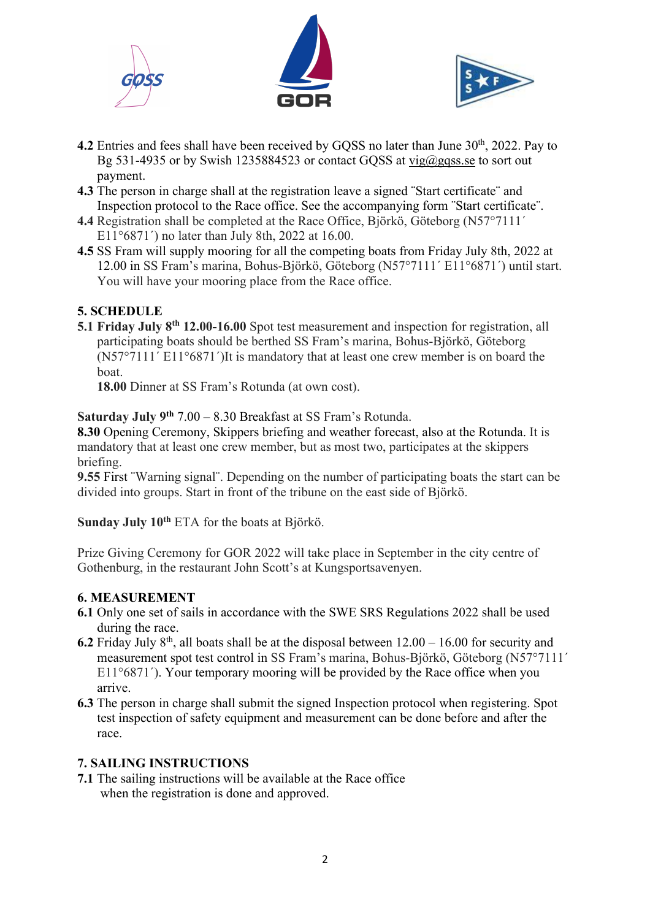





- **4.2** Entries and fees shall have been received by GQSS no later than June 30<sup>th</sup>, 2022. Pay to Bg 531-4935 or by Swish 1235884523 or contact GQSS at vig@gqss.se to sort out payment.
- **4.3** The person in charge shall at the registration leave a signed ¨Start certificate¨ and Inspection protocol to the Race office. See the accompanying form ¨Start certificate¨.
- **4.4** Registration shall be completed at the Race Office, Björkö, Göteborg (N57°7111´ E11°6871´) no later than July 8th, 2022 at 16.00.
- **4.5** SS Fram will supply mooring for all the competing boats from Friday July 8th, 2022 at 12.00 in SS Fram's marina, Bohus-Björkö, Göteborg (N57°7111´ E11°6871´) until start. You will have your mooring place from the Race office.

#### **5. SCHEDULE**

**5.1 Friday July 8th 12.00-16.00** Spot test measurement and inspection for registration, all participating boats should be berthed SS Fram's marina, Bohus-Björkö, Göteborg (N57°7111´ E11°6871´)It is mandatory that at least one crew member is on board the boat.

**18.00** Dinner at SS Fram's Rotunda (at own cost).

**Saturday July 9th** 7.00 – 8.30 Breakfast at SS Fram's Rotunda.

**8.30** Opening Ceremony, Skippers briefing and weather forecast, also at the Rotunda. It is mandatory that at least one crew member, but as most two, participates at the skippers briefing.

**9.55** First ¨Warning signal¨. Depending on the number of participating boats the start can be divided into groups. Start in front of the tribune on the east side of Björkö.

**Sunday July 10th** ETA for the boats at Björkö.

Prize Giving Ceremony for GOR 2022 will take place in September in the city centre of Gothenburg, in the restaurant John Scott's at Kungsportsavenyen.

#### **6. MEASUREMENT**

- **6.1** Only one set of sails in accordance with the SWE SRS Regulations 2022 shall be used during the race.
- **6.2** Friday July  $8<sup>th</sup>$ , all boats shall be at the disposal between  $12.00 16.00$  for security and measurement spot test control in SS Fram's marina, Bohus-Björkö, Göteborg (N57°7111´  $E11^{\circ}6871'$ ). Your temporary mooring will be provided by the Race office when you arrive.
- **6.3** The person in charge shall submit the signed Inspection protocol when registering. Spot test inspection of safety equipment and measurement can be done before and after the race.

#### **7. SAILING INSTRUCTIONS**

**7.1** The sailing instructions will be available at the Race office when the registration is done and approved.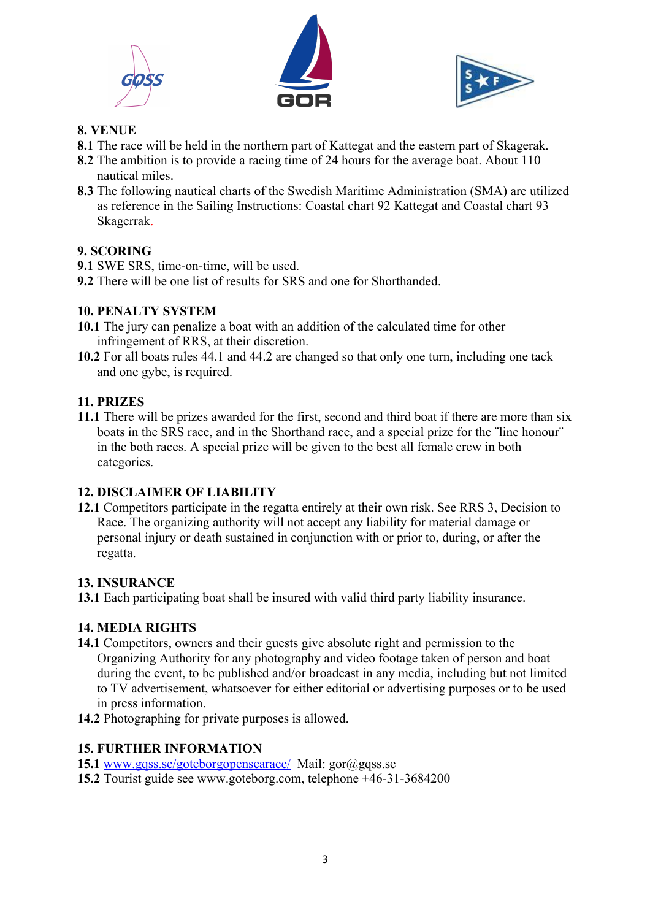





#### **8. VENUE**

- **8.1** The race will be held in the northern part of Kattegat and the eastern part of Skagerak.
- **8.2** The ambition is to provide a racing time of 24 hours for the average boat. About 110 nautical miles.
- **8.3** The following nautical charts of the Swedish Maritime Administration (SMA) are utilized as reference in the Sailing Instructions: Coastal chart 92 Kattegat and Coastal chart 93 Skagerrak.

#### **9. SCORING**

- **9.1** SWE SRS, time-on-time, will be used.
- **9.2** There will be one list of results for SRS and one for Shorthanded.

#### **10. PENALTY SYSTEM**

- **10.1** The jury can penalize a boat with an addition of the calculated time for other infringement of RRS, at their discretion.
- **10.2** For all boats rules 44.1 and 44.2 are changed so that only one turn, including one tack and one gybe, is required.

#### **11. PRIZES**

**11.1** There will be prizes awarded for the first, second and third boat if there are more than six boats in the SRS race, and in the Shorthand race, and a special prize for the "line honour" in the both races. A special prize will be given to the best all female crew in both categories.

#### **12. DISCLAIMER OF LIABILITY**

**12.1** Competitors participate in the regatta entirely at their own risk. See RRS 3, Decision to Race. The organizing authority will not accept any liability for material damage or personal injury or death sustained in conjunction with or prior to, during, or after the regatta.

#### **13. INSURANCE**

**13.1** Each participating boat shall be insured with valid third party liability insurance.

#### **14. MEDIA RIGHTS**

- **14.1** Competitors, owners and their guests give absolute right and permission to the Organizing Authority for any photography and video footage taken of person and boat during the event, to be published and/or broadcast in any media, including but not limited to TV advertisement, whatsoever for either editorial or advertising purposes or to be used in press information.
- **14.2** Photographing for private purposes is allowed.

#### **15. FURTHER INFORMATION**

- **15.1** www.gqss.se/goteborgopensearace/ Mail: gor@gqss.se
- **15.2** Tourist guide see www.goteborg.com, telephone +46-31-3684200